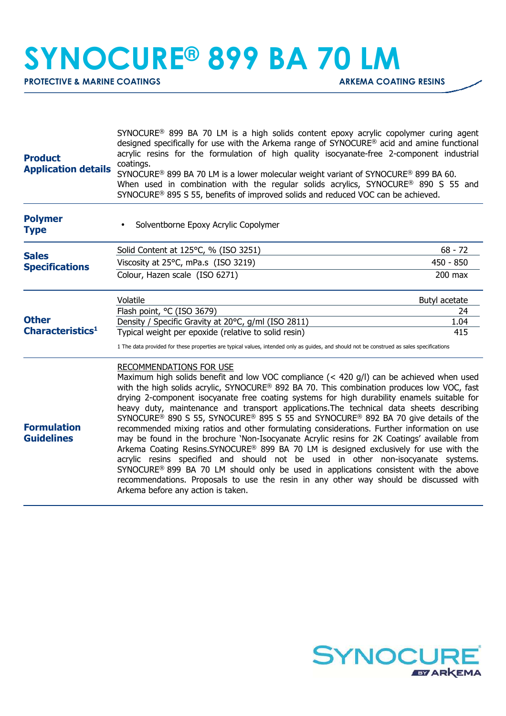## **SYNOCURE® 899 BA 70 LM**

**PROTECTIVE & MARINE COATINGS ARKEMA COATING RESINS** 

| <b>Product</b><br><b>Application details</b>                                          | SYNOCURE <sup>®</sup> 899 BA 70 LM is a high solids content epoxy acrylic copolymer curing agent<br>designed specifically for use with the Arkema range of SYNOCURE <sup>®</sup> acid and amine functional<br>acrylic resins for the formulation of high quality isocyanate-free 2-component industrial<br>coatings.<br>SYNOCURE® 899 BA 70 LM is a lower molecular weight variant of SYNOCURE® 899 BA 60.<br>When used in combination with the regular solids acrylics, SYNOCURE® 890 S 55 and<br>SYNOCURE <sup>®</sup> 895 S 55, benefits of improved solids and reduced VOC can be achieved.                                                                                                                                                                                                                                                                                                                                                                                                                                                                                                                                                            |               |
|---------------------------------------------------------------------------------------|------------------------------------------------------------------------------------------------------------------------------------------------------------------------------------------------------------------------------------------------------------------------------------------------------------------------------------------------------------------------------------------------------------------------------------------------------------------------------------------------------------------------------------------------------------------------------------------------------------------------------------------------------------------------------------------------------------------------------------------------------------------------------------------------------------------------------------------------------------------------------------------------------------------------------------------------------------------------------------------------------------------------------------------------------------------------------------------------------------------------------------------------------------|---------------|
| <b>Polymer</b><br><b>Type</b>                                                         | Solventborne Epoxy Acrylic Copolymer                                                                                                                                                                                                                                                                                                                                                                                                                                                                                                                                                                                                                                                                                                                                                                                                                                                                                                                                                                                                                                                                                                                       |               |
|                                                                                       | Solid Content at 125°C, % (ISO 3251)                                                                                                                                                                                                                                                                                                                                                                                                                                                                                                                                                                                                                                                                                                                                                                                                                                                                                                                                                                                                                                                                                                                       | $68 - 72$     |
| <b>Sales</b><br><b>Specifications</b><br><b>Other</b><br>Characteristics <sup>1</sup> | Viscosity at 25°C, mPa.s (ISO 3219)                                                                                                                                                                                                                                                                                                                                                                                                                                                                                                                                                                                                                                                                                                                                                                                                                                                                                                                                                                                                                                                                                                                        | $450 - 850$   |
|                                                                                       | Colour, Hazen scale (ISO 6271)                                                                                                                                                                                                                                                                                                                                                                                                                                                                                                                                                                                                                                                                                                                                                                                                                                                                                                                                                                                                                                                                                                                             | $200$ max     |
|                                                                                       | Volatile                                                                                                                                                                                                                                                                                                                                                                                                                                                                                                                                                                                                                                                                                                                                                                                                                                                                                                                                                                                                                                                                                                                                                   | Butyl acetate |
|                                                                                       | Flash point, °C (ISO 3679)                                                                                                                                                                                                                                                                                                                                                                                                                                                                                                                                                                                                                                                                                                                                                                                                                                                                                                                                                                                                                                                                                                                                 | 24            |
|                                                                                       | Density / Specific Gravity at 20°C, g/ml (ISO 2811)<br>Typical weight per epoxide (relative to solid resin)                                                                                                                                                                                                                                                                                                                                                                                                                                                                                                                                                                                                                                                                                                                                                                                                                                                                                                                                                                                                                                                | 1.04<br>415   |
|                                                                                       | 1 The data provided for these properties are typical values, intended only as guides, and should not be construed as sales specifications                                                                                                                                                                                                                                                                                                                                                                                                                                                                                                                                                                                                                                                                                                                                                                                                                                                                                                                                                                                                                  |               |
| <b>Formulation</b><br><b>Guidelines</b>                                               | <b>RECOMMENDATIONS FOR USE</b><br>Maximum high solids benefit and low VOC compliance (< 420 g/l) can be achieved when used<br>with the high solids acrylic, SYNOCURE® 892 BA 70. This combination produces low VOC, fast<br>drying 2-component isocyanate free coating systems for high durability enamels suitable for<br>heavy duty, maintenance and transport applications. The technical data sheets describing<br>SYNOCURE <sup>®</sup> 890 S 55, SYNOCURE <sup>®</sup> 895 S 55 and SYNOCURE <sup>®</sup> 892 BA 70 give details of the<br>recommended mixing ratios and other formulating considerations. Further information on use<br>may be found in the brochure 'Non-Isocyanate Acrylic resins for 2K Coatings' available from<br>Arkema Coating Resins.SYNOCURE® 899 BA 70 LM is designed exclusively for use with the<br>acrylic resins specified and should not be used in other non-isocyanate systems.<br>SYNOCURE <sup>®</sup> 899 BA 70 LM should only be used in applications consistent with the above<br>recommendations. Proposals to use the resin in any other way should be discussed with<br>Arkema before any action is taken. |               |